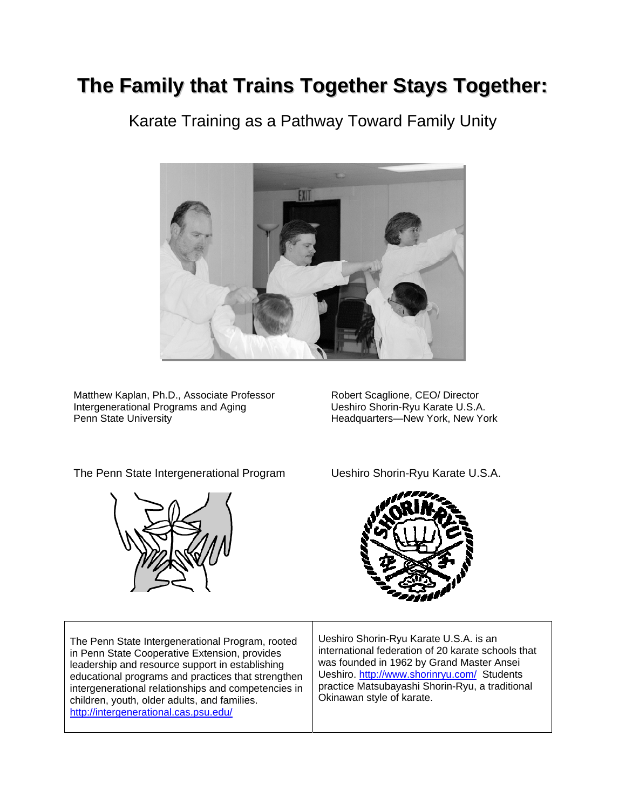# **The Family that Trains Together Stays Together:**

Karate Training as a Pathway Toward Family Unity



Matthew Kaplan, Ph.D., Associate Professor Robert Scaglione, CEO/ Director<br>Intergenerational Programs and Aging Burgery Beshiro Shorin-Ryu Karate U.S.A. Intergenerational Programs and Aging<br>Penn State University

Headquarters—New York, New York

The Penn State Intergenerational Program Ueshiro Shorin-Ryu Karate U.S.A.





| The Penn State Intergenerational Program, rooted<br>in Penn State Cooperative Extension, provides<br>leadership and resource support in establishing<br>educational programs and practices that strengthen<br>intergenerational relationships and competencies in<br>children, youth, older adults, and families.<br>http://intergenerational.cas.psu.edu/ | Ueshiro Shorin-Ryu Kar<br>international federation<br>was founded in 1962 by<br>Ueshiro. http://www.sho<br>practice Matsubayashi S<br>Okinawan style of karate |
|------------------------------------------------------------------------------------------------------------------------------------------------------------------------------------------------------------------------------------------------------------------------------------------------------------------------------------------------------------|----------------------------------------------------------------------------------------------------------------------------------------------------------------|
|------------------------------------------------------------------------------------------------------------------------------------------------------------------------------------------------------------------------------------------------------------------------------------------------------------------------------------------------------------|----------------------------------------------------------------------------------------------------------------------------------------------------------------|

ate U.S.A. is an of 20 karate schools that **Grand Master Ansei** rinryu.com/ Students Shorin-Ryu, a traditional Okinawan style of karate.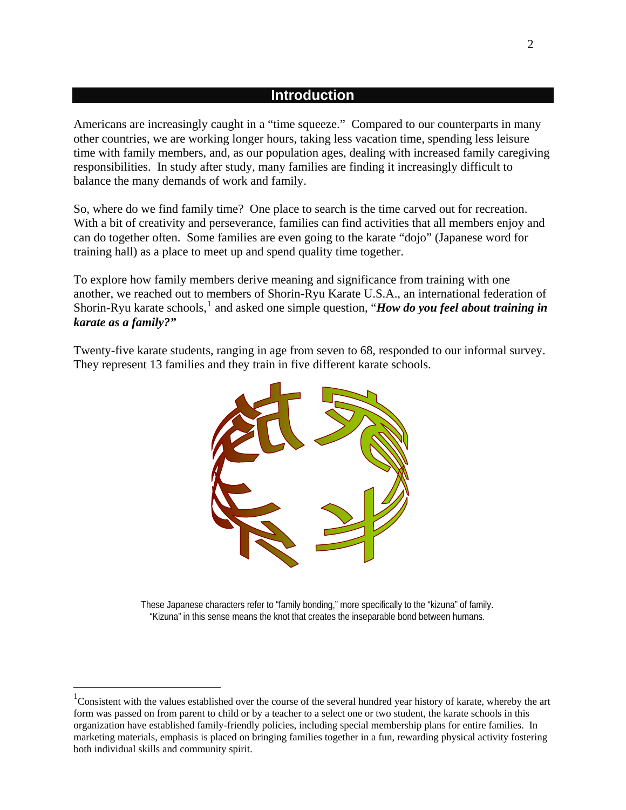### **Introduction**

Americans are increasingly caught in a "time squeeze." Compared to our counterparts in many other countries, we are working longer hours, taking less vacation time, spending less leisure time with family members, and, as our population ages, dealing with increased family caregiving responsibilities. In study after study, many families are finding it increasingly difficult to balance the many demands of work and family.

So, where do we find family time? One place to search is the time carved out for recreation. With a bit of creativity and perseverance, families can find activities that all members enjoy and can do together often. Some families are even going to the karate "dojo" (Japanese word for training hall) as a place to meet up and spend quality time together.

To explore how family members derive meaning and significance from training with one another, we reached out to members of Shorin-Ryu Karate U.S.A., an international federation of Shorin-Ryu karate schools,<sup>[1](#page-1-0)</sup> and asked one simple question, "*How do you feel about training in karate as a family?"* 

Twenty-five karate students, ranging in age from seven to 68, responded to our informal survey. They represent 13 families and they train in five different karate schools.



These Japanese characters refer to "family bonding," more specifically to the "kizuna" of family. "Kizuna" in this sense means the knot that creates the inseparable bond between humans.

 $\overline{a}$ 

<span id="page-1-0"></span> $1$ Consistent with the values established over the course of the several hundred year history of karate, whereby the art form was passed on from parent to child or by a teacher to a select one or two student, the karate schools in this organization have established family-friendly policies, including special membership plans for entire families. In marketing materials, emphasis is placed on bringing families together in a fun, rewarding physical activity fostering both individual skills and community spirit.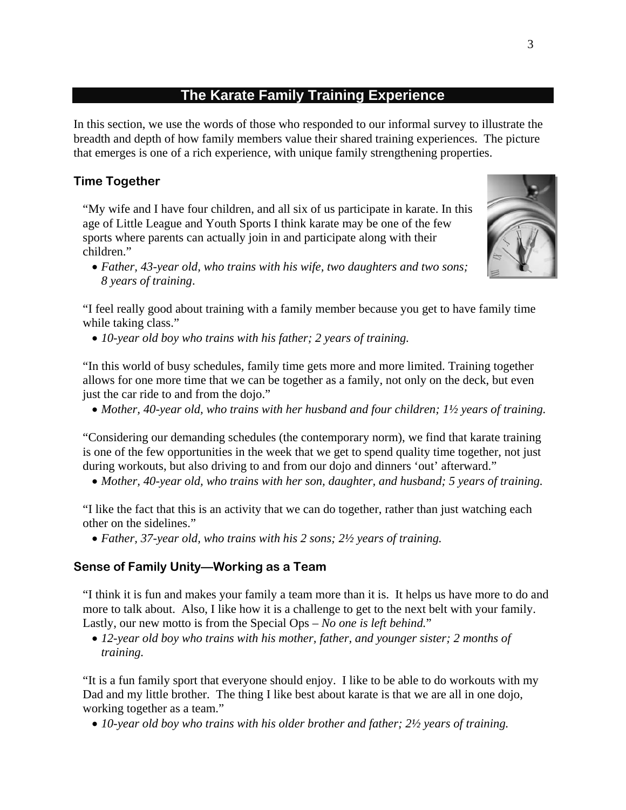# **The Karate Family Training Experience**

In this section, we use the words of those who responded to our informal survey to illustrate the breadth and depth of how family members value their shared training experiences. The picture that emerges is one of a rich experience, with unique family strengthening properties.

### **Time Together**

"My wife and I have four children, and all six of us participate in karate. In this age of Little League and Youth Sports I think karate may be one of the few sports where parents can actually join in and participate along with their children."

• *Father, 43-year old, who trains with his wife, two daughters and two sons; 8 years of training*.

"I feel really good about training with a family member because you get to have family time while taking class."

• *10-year old boy who trains with his father; 2 years of training.* 

"In this world of busy schedules, family time gets more and more limited. Training together allows for one more time that we can be together as a family, not only on the deck, but even just the car ride to and from the dojo."

• *Mother, 40-year old, who trains with her husband and four children; 1½ years of training.* 

"Considering our demanding schedules (the contemporary norm), we find that karate training is one of the few opportunities in the week that we get to spend quality time together, not just during workouts, but also driving to and from our dojo and dinners 'out' afterward."

• *Mother, 40-year old, who trains with her son, daughter, and husband; 5 years of training.* 

"I like the fact that this is an activity that we can do together, rather than just watching each other on the sidelines."

• *Father, 37-year old, who trains with his 2 sons; 2½ years of training.* 

### **Sense of Family Unity—Working as a Team**

"I think it is fun and makes your family a team more than it is. It helps us have more to do and more to talk about. Also, I like how it is a challenge to get to the next belt with your family. Lastly, our new motto is from the Special Ops – *No one is left behind.*"

• *12-year old boy who trains with his mother, father, and younger sister; 2 months of training.* 

"It is a fun family sport that everyone should enjoy. I like to be able to do workouts with my Dad and my little brother. The thing I like best about karate is that we are all in one dojo, working together as a team."

• *10-year old boy who trains with his older brother and father; 2½ years of training.* 

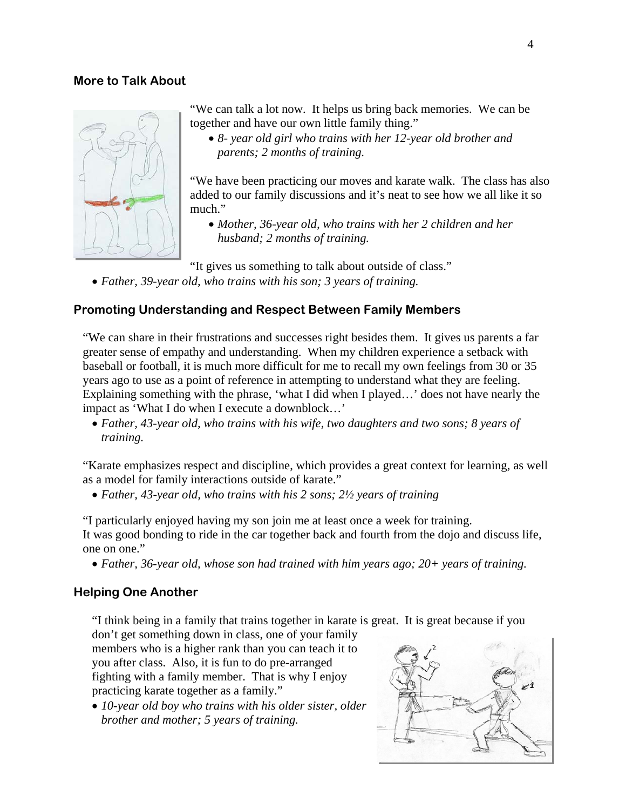#### **More to Talk About**



"We can talk a lot now. It helps us bring back memories. We can be together and have our own little family thing."

• *8- year old girl who trains with her 12-year old brother and parents; 2 months of training.* 

"We have been practicing our moves and karate walk. The class has also added to our family discussions and it's neat to see how we all like it so much."

• *Mother, 36-year old, who trains with her 2 children and her husband; 2 months of training.* 

"It gives us something to talk about outside of class."

• *Father, 39-year old, who trains with his son; 3 years of training.* 

### **Promoting Understanding and Respect Between Family Members**

"We can share in their frustrations and successes right besides them. It gives us parents a far greater sense of empathy and understanding. When my children experience a setback with baseball or football, it is much more difficult for me to recall my own feelings from 30 or 35 years ago to use as a point of reference in attempting to understand what they are feeling. Explaining something with the phrase, 'what I did when I played…' does not have nearly the impact as 'What I do when I execute a downblock…'

• *Father, 43-year old, who trains with his wife, two daughters and two sons; 8 years of training.* 

"Karate emphasizes respect and discipline, which provides a great context for learning, as well as a model for family interactions outside of karate."

• *Father, 43-year old, who trains with his 2 sons; 2½ years of training* 

"I particularly enjoyed having my son join me at least once a week for training. It was good bonding to ride in the car together back and fourth from the dojo and discuss life, one on one."

• *Father, 36-year old, whose son had trained with him years ago; 20+ years of training.* 

#### **Helping One Another**

"I think being in a family that trains together in karate is great. It is great because if you

don't get something down in class, one of your family members who is a higher rank than you can teach it to you after class. Also, it is fun to do pre-arranged fighting with a family member. That is why I enjoy practicing karate together as a family."

• *10-year old boy who trains with his older sister, older brother and mother; 5 years of training.* 

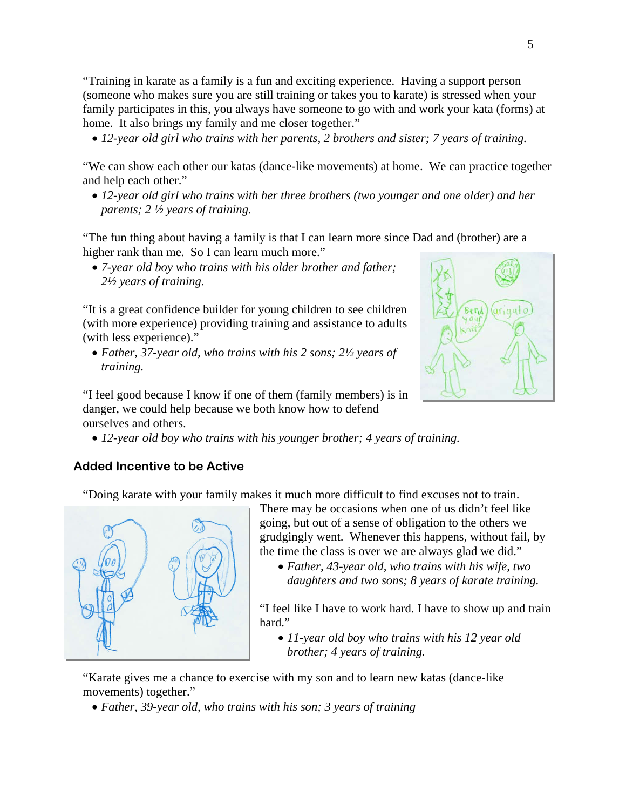"Training in karate as a family is a fun and exciting experience. Having a support person (someone who makes sure you are still training or takes you to karate) is stressed when your family participates in this, you always have someone to go with and work your kata (forms) at home. It also brings my family and me closer together."

• *12-year old girl who trains with her parents, 2 brothers and sister; 7 years of training.* 

"We can show each other our katas (dance-like movements) at home. We can practice together and help each other."

• *12-year old girl who trains with her three brothers (two younger and one older) and her parents; 2 ½ years of training.* 

"The fun thing about having a family is that I can learn more since Dad and (brother) are a higher rank than me. So I can learn much more."

• *7-year old boy who trains with his older brother and father; 2½ years of training.* 

"It is a great confidence builder for young children to see children (with more experience) providing training and assistance to adults (with less experience)."

• *Father, 37-year old, who trains with his 2 sons; 2½ years of training.* 

 $ar<sub>1</sub>$ aalo

"I feel good because I know if one of them (family members) is in danger, we could help because we both know how to defend ourselves and others.

• *12-year old boy who trains with his younger brother; 4 years of training.* 

## **Added Incentive to be Active**

"Doing karate with your family makes it much more difficult to find excuses not to train.



There may be occasions when one of us didn't feel like going, but out of a sense of obligation to the others we grudgingly went. Whenever this happens, without fail, by the time the class is over we are always glad we did."

• *Father, 43-year old, who trains with his wife, two daughters and two sons; 8 years of karate training.* 

"I feel like I have to work hard. I have to show up and train hard."

• *11-year old boy who trains with his 12 year old brother; 4 years of training.* 

"Karate gives me a chance to exercise with my son and to learn new katas (dance-like movements) together."

• *Father, 39-year old, who trains with his son; 3 years of training*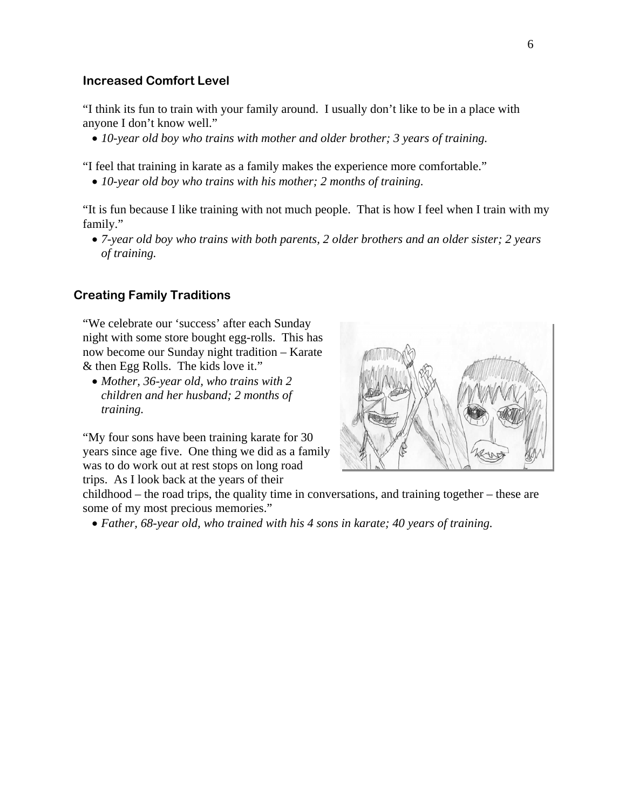#### **Increased Comfort Level**

"I think its fun to train with your family around. I usually don't like to be in a place with anyone I don't know well."

• *10-year old boy who trains with mother and older brother; 3 years of training.* 

"I feel that training in karate as a family makes the experience more comfortable."

• *10-year old boy who trains with his mother; 2 months of training.* 

"It is fun because I like training with not much people. That is how I feel when I train with my family."

• *7-year old boy who trains with both parents, 2 older brothers and an older sister; 2 years of training.* 

#### **Creating Family Traditions**

"We celebrate our 'success' after each Sunday night with some store bought egg-rolls. This has now become our Sunday night tradition – Karate & then Egg Rolls. The kids love it."

• *Mother, 36-year old, who trains with 2 children and her husband; 2 months of training.* 

"My four sons have been training karate for 30 years since age five. One thing we did as a family was to do work out at rest stops on long road trips. As I look back at the years of their



childhood – the road trips, the quality time in conversations, and training together – these are some of my most precious memories."

• *Father, 68-year old, who trained with his 4 sons in karate; 40 years of training.*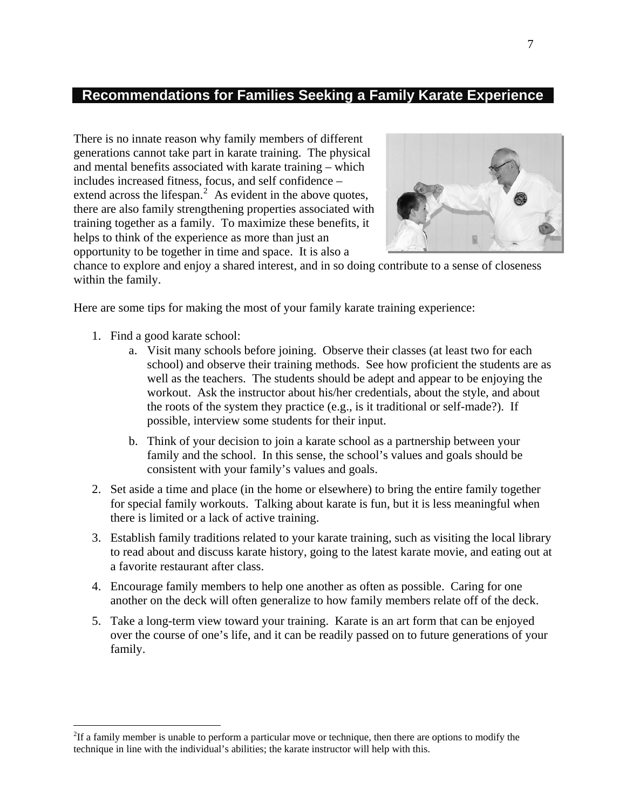# **Recommendations for Families Seeking a Family Karate Experience**

There is no innate reason why family members of different generations cannot take part in karate training. The physical and mental benefits associated with karate training – which includes increased fitness, focus, and self confidence – extend across the lifespan.<sup>[2](#page-6-0)</sup> As evident in the above quotes, there are also family strengthening properties associated with training together as a family. To maximize these benefits, it helps to think of the experience as more than just an opportunity to be together in time and space. It is also a



chance to explore and enjoy a shared interest, and in so doing contribute to a sense of closeness within the family.

Here are some tips for making the most of your family karate training experience:

1. Find a good karate school:

 $\overline{a}$ 

- a. Visit many schools before joining. Observe their classes (at least two for each school) and observe their training methods. See how proficient the students are as well as the teachers. The students should be adept and appear to be enjoying the workout. Ask the instructor about his/her credentials, about the style, and about the roots of the system they practice (e.g., is it traditional or self-made?). If possible, interview some students for their input.
- b. Think of your decision to join a karate school as a partnership between your family and the school. In this sense, the school's values and goals should be consistent with your family's values and goals.
- 2. Set aside a time and place (in the home or elsewhere) to bring the entire family together for special family workouts. Talking about karate is fun, but it is less meaningful when there is limited or a lack of active training.
- 3. Establish family traditions related to your karate training, such as visiting the local library to read about and discuss karate history, going to the latest karate movie, and eating out at a favorite restaurant after class.
- 4. Encourage family members to help one another as often as possible. Caring for one another on the deck will often generalize to how family members relate off of the deck.
- 5. Take a long-term view toward your training. Karate is an art form that can be enjoyed over the course of one's life, and it can be readily passed on to future generations of your family.

<span id="page-6-0"></span> ${}^{2}$ If a family member is unable to perform a particular move or technique, then there are options to modify the technique in line with the individual's abilities; the karate instructor will help with this.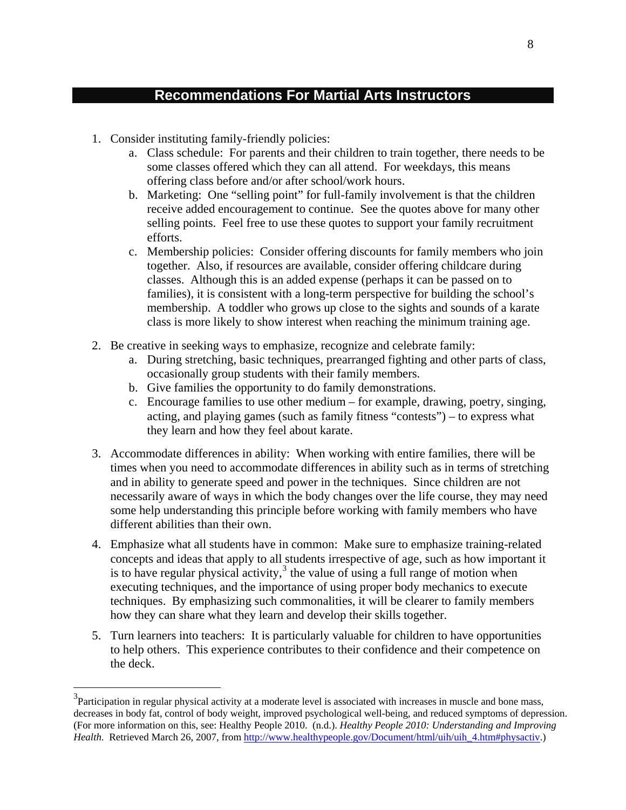# **Recommendations For Martial Arts Instructors**

1. Consider instituting family-friendly policies:

 $\overline{a}$ 

- a. Class schedule: For parents and their children to train together, there needs to be some classes offered which they can all attend. For weekdays, this means offering class before and/or after school/work hours.
- b. Marketing: One "selling point" for full-family involvement is that the children receive added encouragement to continue. See the quotes above for many other selling points. Feel free to use these quotes to support your family recruitment efforts.
- c. Membership policies: Consider offering discounts for family members who join together. Also, if resources are available, consider offering childcare during classes. Although this is an added expense (perhaps it can be passed on to families), it is consistent with a long-term perspective for building the school's membership. A toddler who grows up close to the sights and sounds of a karate class is more likely to show interest when reaching the minimum training age.
- 2. Be creative in seeking ways to emphasize, recognize and celebrate family:
	- a. During stretching, basic techniques, prearranged fighting and other parts of class, occasionally group students with their family members.
	- b. Give families the opportunity to do family demonstrations.
	- c. Encourage families to use other medium for example, drawing, poetry, singing, acting, and playing games (such as family fitness "contests") – to express what they learn and how they feel about karate.
- 3. Accommodate differences in ability: When working with entire families, there will be times when you need to accommodate differences in ability such as in terms of stretching and in ability to generate speed and power in the techniques. Since children are not necessarily aware of ways in which the body changes over the life course, they may need some help understanding this principle before working with family members who have different abilities than their own.
- 4. Emphasize what all students have in common: Make sure to emphasize training-related concepts and ideas that apply to all students irrespective of age, such as how important it is to have regular physical activity, $3$  the value of using a full range of motion when executing techniques, and the importance of using proper body mechanics to execute techniques. By emphasizing such commonalities, it will be clearer to family members how they can share what they learn and develop their skills together.
- 5. Turn learners into teachers: It is particularly valuable for children to have opportunities to help others. This experience contributes to their confidence and their competence on the deck.

<span id="page-7-0"></span> $3$ Participation in regular physical activity at a moderate level is associated with increases in muscle and bone mass, decreases in body fat, control of body weight, improved psychological well-being, and reduced symptoms of depression. (For more information on this, see: Healthy People 2010. (n.d.). *Healthy People 2010: Understanding and Improving Health*. Retrieved March 26, 2007, from [http://www.healthypeople.gov/Document/html/uih/uih\\_4.htm#physactiv](http://www.healthypeople.gov/Document/html/uih/uih_4.htm#physactiv).)